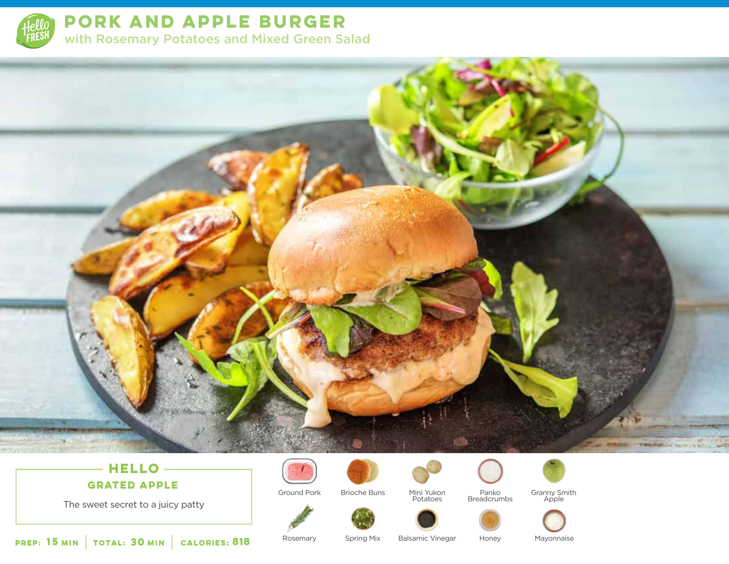

**PORK AND APPLE BURGER**  with Rosemary Potatoes and Mixed Green Salad

# **THE CASE OF SECTION**

# **HELLO**

**GRATED APPLE**



Ground Pork







Panko Breadcrumbs



Granny Smith Apple



The sweet secret to a juicy patty

**15 30 MIN MIN CALORIES:**

Rosemary

Spring Mix

**Balsamic Vinegar** 

Honey Mayonnaise